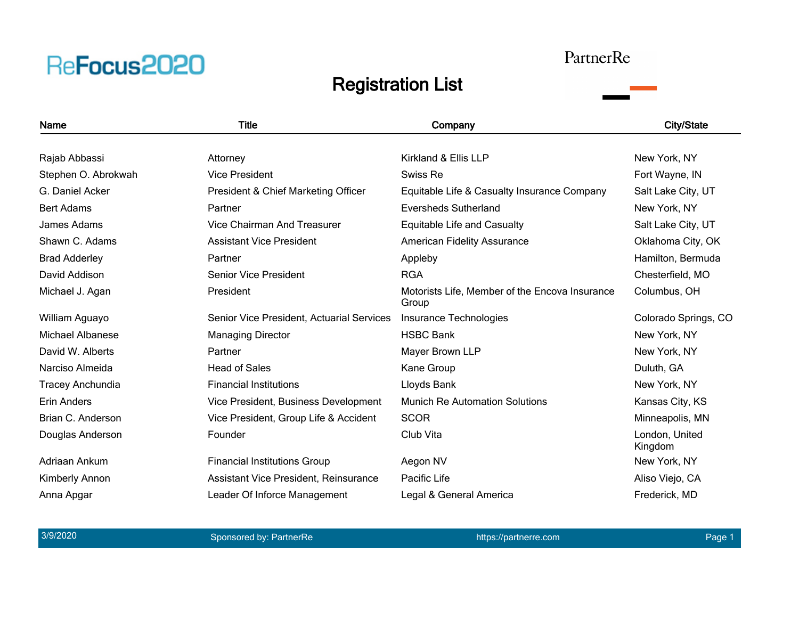### PartnerRe



| Name                    | <b>Title</b>                              | Company                                                 | <b>City/State</b>         |
|-------------------------|-------------------------------------------|---------------------------------------------------------|---------------------------|
|                         |                                           |                                                         |                           |
| Rajab Abbassi           | Attorney                                  | Kirkland & Ellis LLP                                    | New York, NY              |
| Stephen O. Abrokwah     | <b>Vice President</b>                     | Swiss Re                                                | Fort Wayne, IN            |
| G. Daniel Acker         | President & Chief Marketing Officer       | Equitable Life & Casualty Insurance Company             | Salt Lake City, UT        |
| <b>Bert Adams</b>       | Partner                                   | <b>Eversheds Sutherland</b>                             | New York, NY              |
| James Adams             | Vice Chairman And Treasurer               | Equitable Life and Casualty                             | Salt Lake City, UT        |
| Shawn C. Adams          | <b>Assistant Vice President</b>           | <b>American Fidelity Assurance</b>                      | Oklahoma City, OK         |
| <b>Brad Adderley</b>    | Partner                                   | Appleby                                                 | Hamilton, Bermuda         |
| David Addison           | <b>Senior Vice President</b>              | <b>RGA</b>                                              | Chesterfield, MO          |
| Michael J. Agan         | President                                 | Motorists Life, Member of the Encova Insurance<br>Group | Columbus, OH              |
| William Aguayo          | Senior Vice President, Actuarial Services | Insurance Technologies                                  | Colorado Springs, CO      |
| Michael Albanese        | <b>Managing Director</b>                  | <b>HSBC Bank</b>                                        | New York, NY              |
| David W. Alberts        | Partner                                   | Mayer Brown LLP                                         | New York, NY              |
| Narciso Almeida         | <b>Head of Sales</b>                      | Kane Group                                              | Duluth, GA                |
| <b>Tracey Anchundia</b> | <b>Financial Institutions</b>             | Lloyds Bank                                             | New York, NY              |
| <b>Erin Anders</b>      | Vice President, Business Development      | <b>Munich Re Automation Solutions</b>                   | Kansas City, KS           |
| Brian C. Anderson       | Vice President, Group Life & Accident     | <b>SCOR</b>                                             | Minneapolis, MN           |
| Douglas Anderson        | Founder                                   | Club Vita                                               | London, United<br>Kingdom |
| Adriaan Ankum           | <b>Financial Institutions Group</b>       | Aegon NV                                                | New York, NY              |
| Kimberly Annon          | Assistant Vice President, Reinsurance     | Pacific Life                                            | Aliso Viejo, CA           |
| Anna Apgar              | Leader Of Inforce Management              | Legal & General America                                 | Frederick, MD             |
|                         |                                           |                                                         |                           |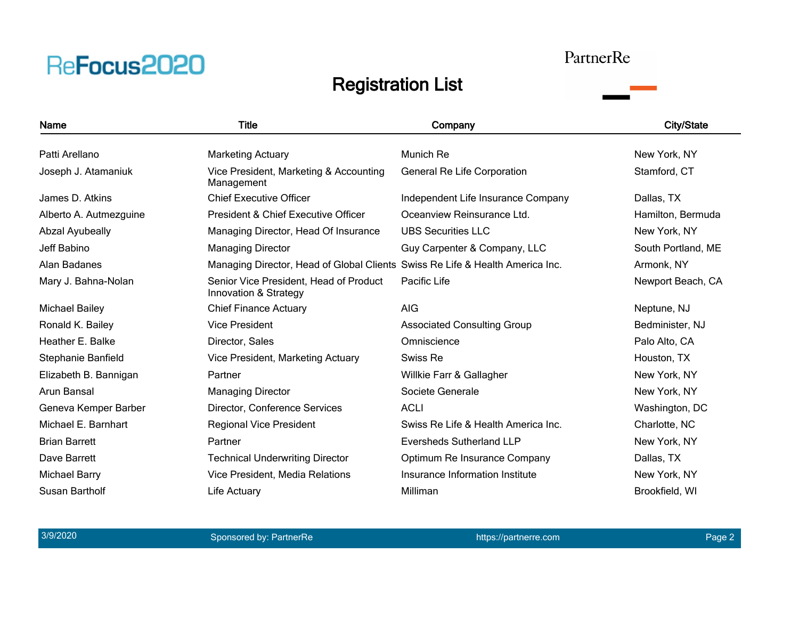#### PartnerRe

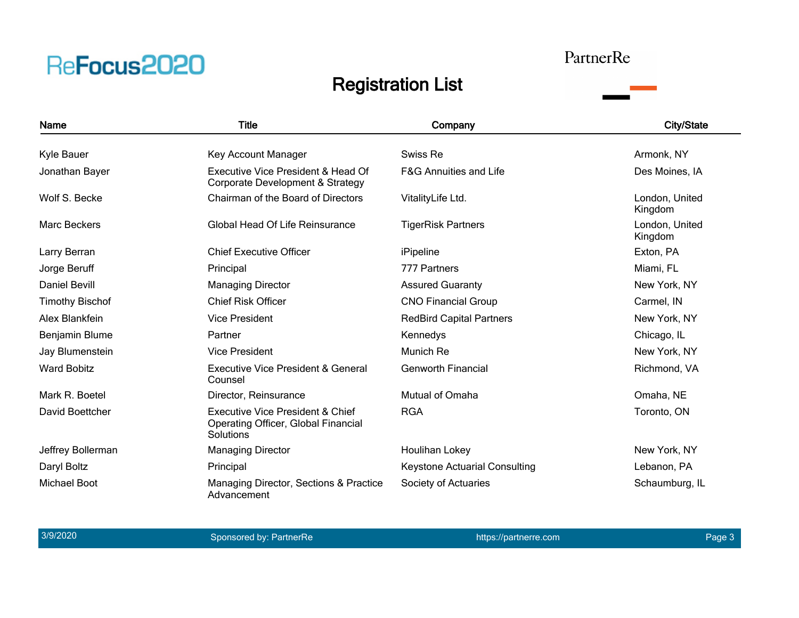#### PartnerRe

### Registration List



3/9/2020 and the sponsored by: PartnerRe https://partnerre.com https://partnerre.com Page 3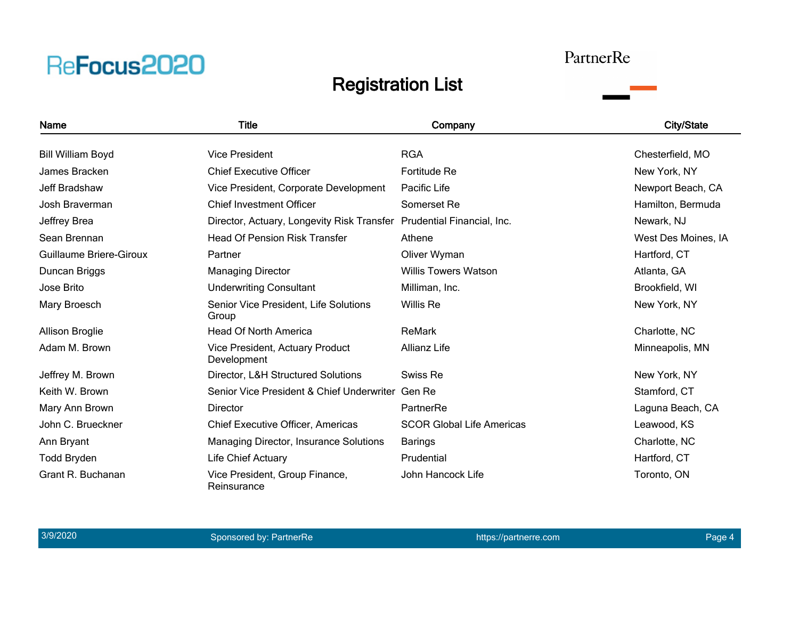#### PartnerRe

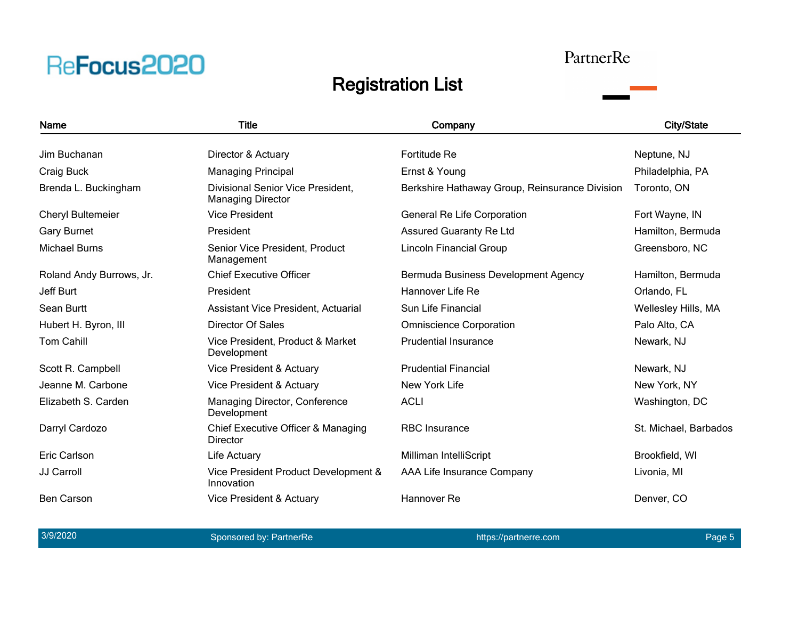#### PartnerRe

### Registration List



3/9/2020 and the sponsored by: PartnerRe https://partnerre.com https://partnerre.com Page 5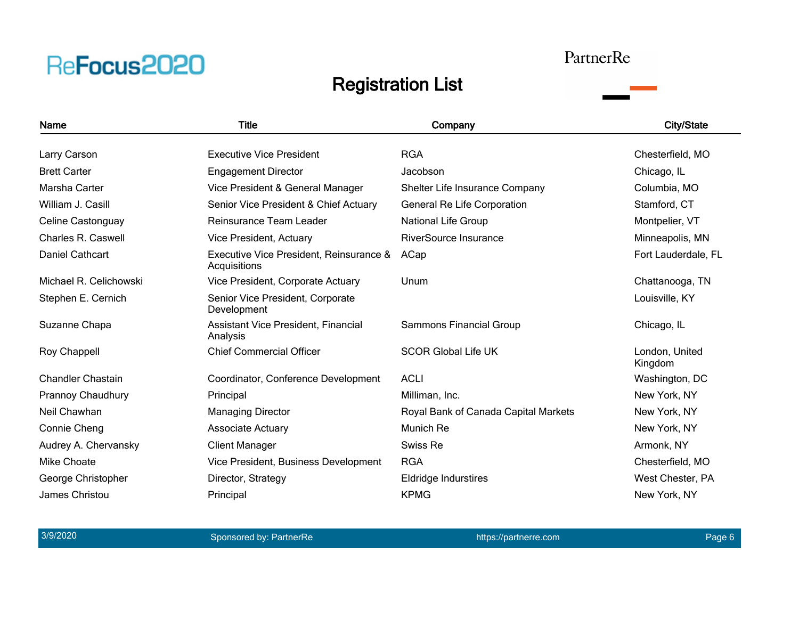#### PartnerRe

### Registration List



3/9/2020 and the sponsored by: PartnerRe https://partnerre.com https://partnerre.com Page 6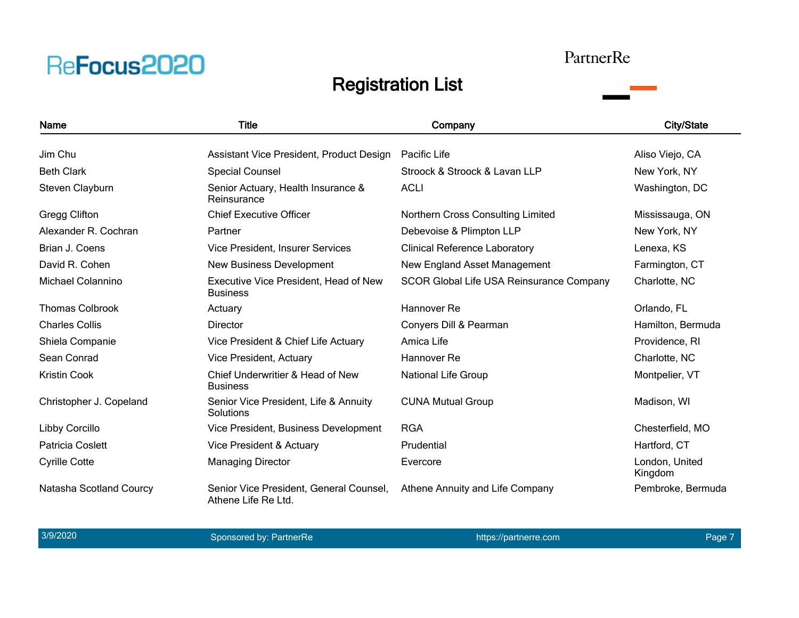#### PartnerRe

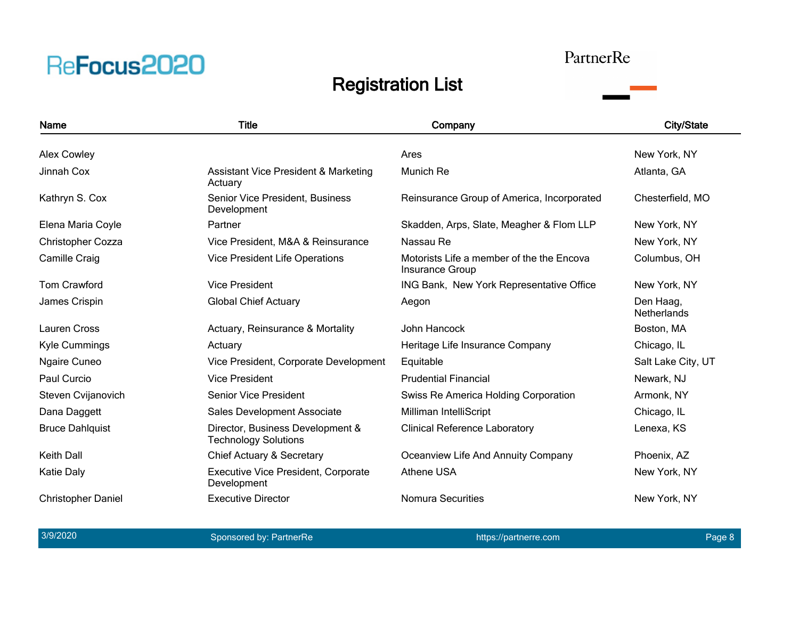#### PartnerRe

### Registration List



3/9/2020 and the sponsored by: PartnerRe https://partnerre.com https://partnerre.com Page 8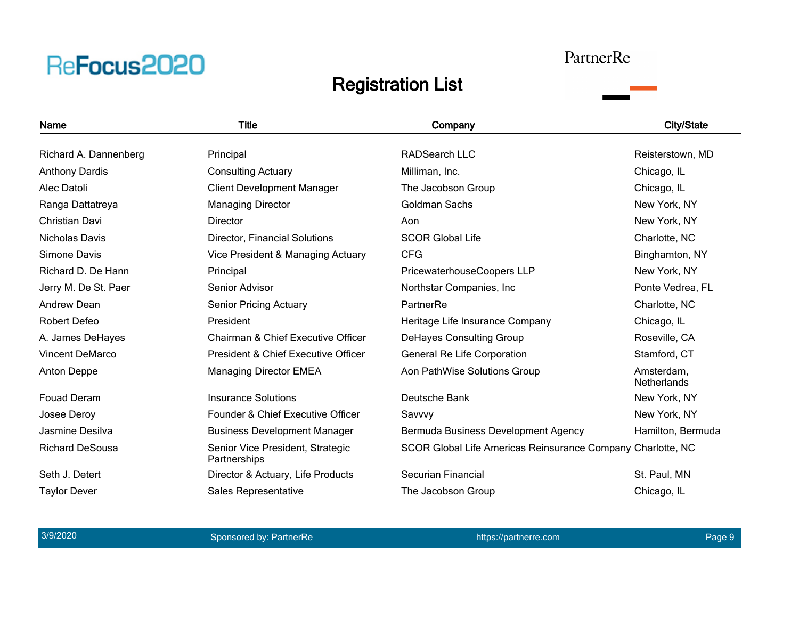#### PartnerRe

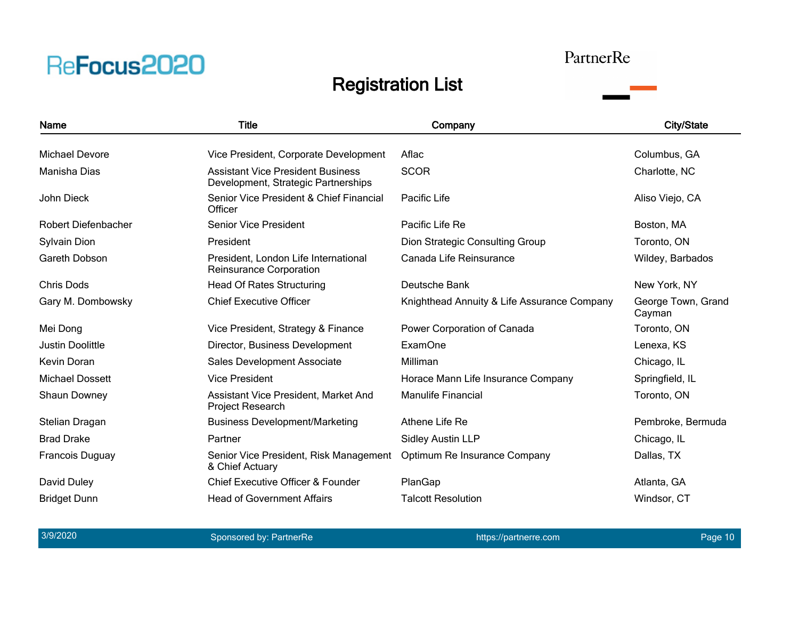### PartnerRe

| <b>Name</b>             | <b>Title</b>                                                                    | Company                                     | <b>City/State</b>            |
|-------------------------|---------------------------------------------------------------------------------|---------------------------------------------|------------------------------|
| Michael Devore          | Vice President, Corporate Development                                           | Aflac                                       | Columbus, GA                 |
| Manisha Dias            | <b>Assistant Vice President Business</b><br>Development, Strategic Partnerships | <b>SCOR</b>                                 | Charlotte, NC                |
| John Dieck              | Senior Vice President & Chief Financial<br>Officer                              | Pacific Life                                | Aliso Viejo, CA              |
| Robert Diefenbacher     | <b>Senior Vice President</b>                                                    | Pacific Life Re                             | Boston, MA                   |
| Sylvain Dion            | President                                                                       | Dion Strategic Consulting Group             | Toronto, ON                  |
| Gareth Dobson           | President, London Life International<br>Reinsurance Corporation                 | Canada Life Reinsurance                     | Wildey, Barbados             |
| <b>Chris Dods</b>       | <b>Head Of Rates Structuring</b>                                                | Deutsche Bank                               | New York, NY                 |
| Gary M. Dombowsky       | <b>Chief Executive Officer</b>                                                  | Knighthead Annuity & Life Assurance Company | George Town, Grand<br>Cayman |
| Mei Dong                | Vice President, Strategy & Finance                                              | Power Corporation of Canada                 | Toronto, ON                  |
| <b>Justin Doolittle</b> | Director, Business Development                                                  | <b>ExamOne</b>                              | Lenexa, KS                   |
| <b>Kevin Doran</b>      | Sales Development Associate                                                     | Milliman                                    | Chicago, IL                  |
| <b>Michael Dossett</b>  | <b>Vice President</b>                                                           | Horace Mann Life Insurance Company          | Springfield, IL              |
| Shaun Downey            | Assistant Vice President, Market And<br>Project Research                        | <b>Manulife Financial</b>                   | Toronto, ON                  |
| Stelian Dragan          | <b>Business Development/Marketing</b>                                           | Athene Life Re                              | Pembroke, Bermuda            |
| <b>Brad Drake</b>       | Partner                                                                         | <b>Sidley Austin LLP</b>                    | Chicago, IL                  |
| <b>Francois Duguay</b>  | Senior Vice President, Risk Management<br>& Chief Actuary                       | Optimum Re Insurance Company                | Dallas, TX                   |
| David Duley             | <b>Chief Executive Officer &amp; Founder</b>                                    | PlanGap                                     | Atlanta, GA                  |
| <b>Bridget Dunn</b>     | <b>Head of Government Affairs</b>                                               | <b>Talcott Resolution</b>                   | Windsor, CT                  |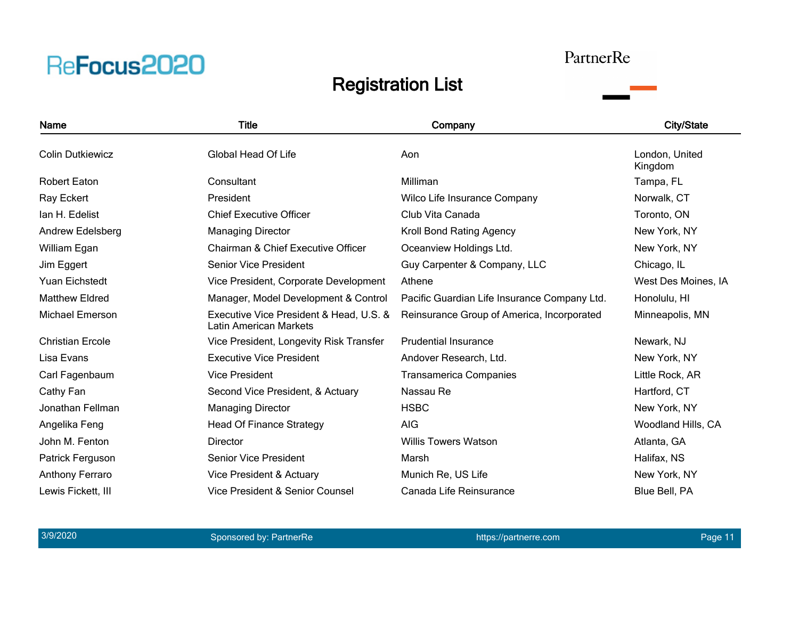#### PartnerRe

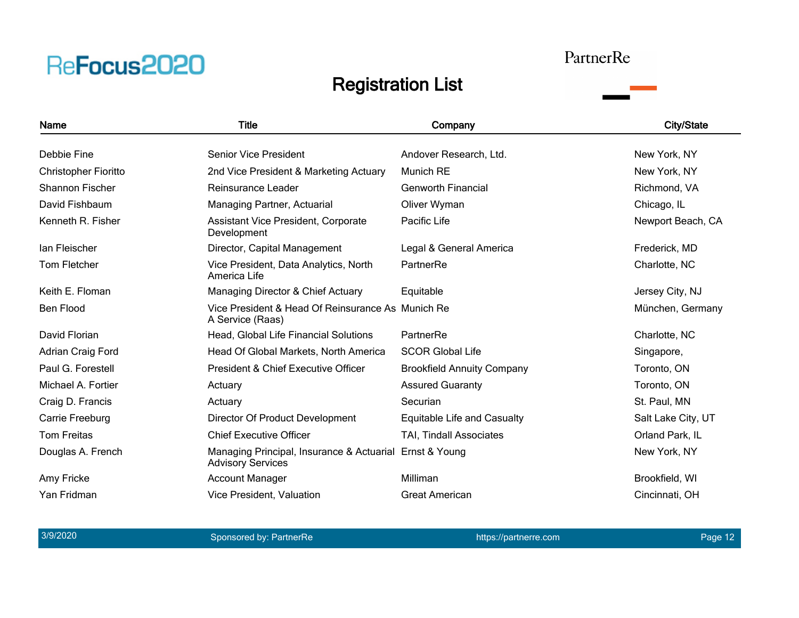#### PartnerRe

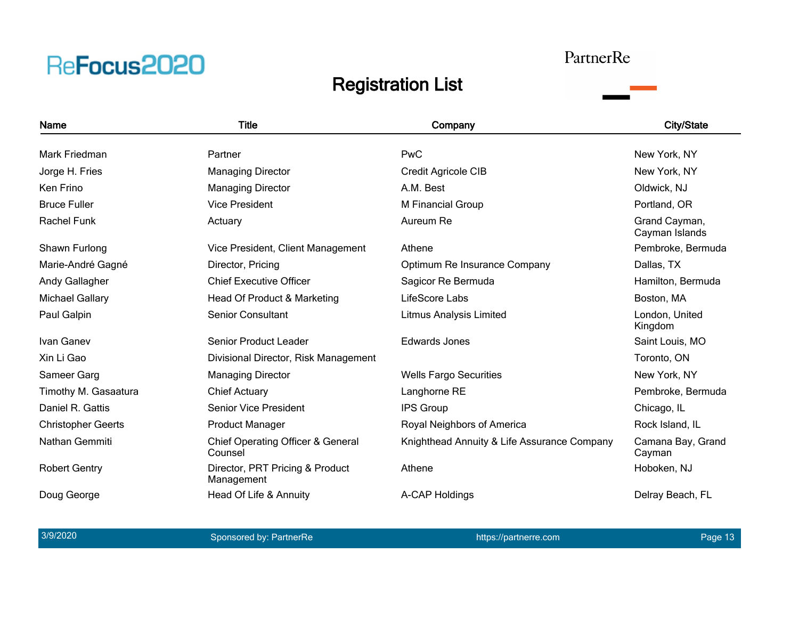#### PartnerRe

![](_page_12_Picture_3.jpeg)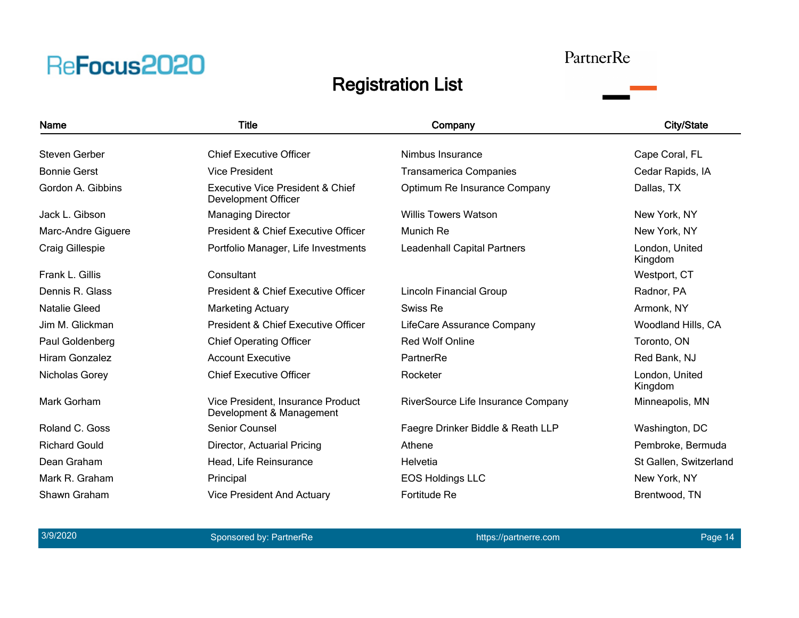#### PartnerRe

### Registration List

![](_page_13_Picture_3.jpeg)

3/9/2020 and the sponsored by: PartnerRe https://partnerre.com https://partnerre.com Page 14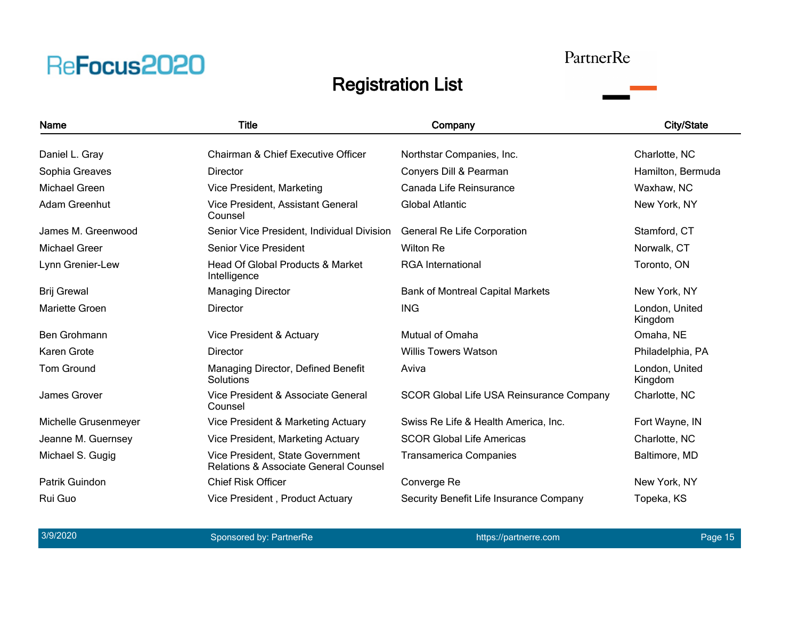#### PartnerRe

![](_page_14_Picture_3.jpeg)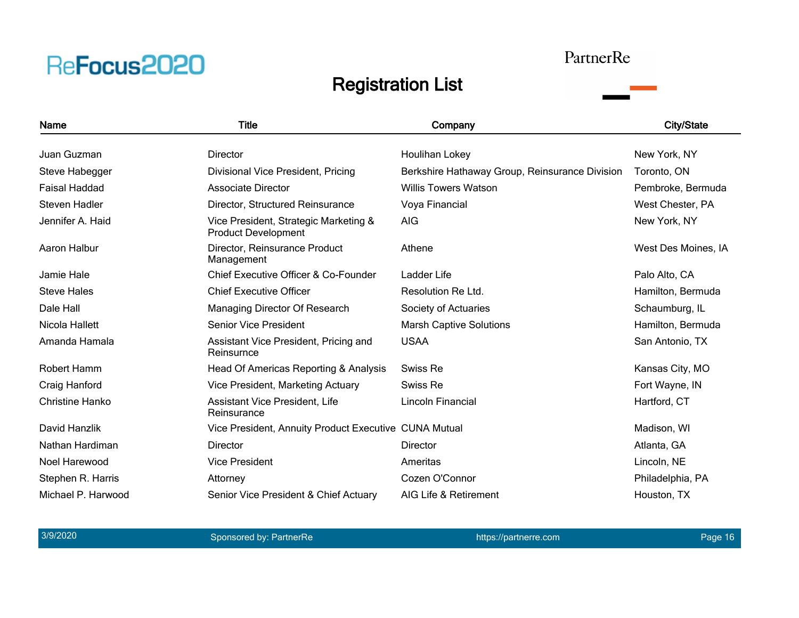### PartnerRe

![](_page_15_Picture_3.jpeg)

| Name                   | Title                                                               | Company                                        | <b>City/State</b>   |
|------------------------|---------------------------------------------------------------------|------------------------------------------------|---------------------|
| Juan Guzman            | <b>Director</b>                                                     | Houlihan Lokey                                 | New York, NY        |
| Steve Habegger         | Divisional Vice President, Pricing                                  | Berkshire Hathaway Group, Reinsurance Division | Toronto, ON         |
| <b>Faisal Haddad</b>   | Associate Director                                                  | <b>Willis Towers Watson</b>                    | Pembroke, Bermuda   |
| Steven Hadler          | Director, Structured Reinsurance                                    | Voya Financial                                 | West Chester, PA    |
| Jennifer A. Haid       | Vice President, Strategic Marketing &<br><b>Product Development</b> | <b>AIG</b>                                     | New York, NY        |
| Aaron Halbur           | Director, Reinsurance Product<br>Management                         | Athene                                         | West Des Moines, IA |
| Jamie Hale             | Chief Executive Officer & Co-Founder                                | Ladder Life                                    | Palo Alto, CA       |
| <b>Steve Hales</b>     | <b>Chief Executive Officer</b>                                      | Resolution Re Ltd.                             | Hamilton, Bermuda   |
| Dale Hall              | Managing Director Of Research                                       | Society of Actuaries                           | Schaumburg, IL      |
| Nicola Hallett         | <b>Senior Vice President</b>                                        | <b>Marsh Captive Solutions</b>                 | Hamilton, Bermuda   |
| Amanda Hamala          | Assistant Vice President, Pricing and<br>Reinsurnce                 | <b>USAA</b>                                    | San Antonio, TX     |
| Robert Hamm            | Head Of Americas Reporting & Analysis                               | Swiss Re                                       | Kansas City, MO     |
| Craig Hanford          | Vice President, Marketing Actuary                                   | Swiss Re                                       | Fort Wayne, IN      |
| <b>Christine Hanko</b> | Assistant Vice President, Life<br>Reinsurance                       | Lincoln Financial                              | Hartford, CT        |
| David Hanzlik          | Vice President, Annuity Product Executive CUNA Mutual               |                                                | Madison, WI         |
| Nathan Hardiman        | <b>Director</b>                                                     | <b>Director</b>                                | Atlanta, GA         |
| Noel Harewood          | <b>Vice President</b>                                               | Ameritas                                       | Lincoln, NE         |
| Stephen R. Harris      | Attorney                                                            | Cozen O'Connor                                 | Philadelphia, PA    |
| Michael P. Harwood     | Senior Vice President & Chief Actuary                               | AIG Life & Retirement                          | Houston, TX         |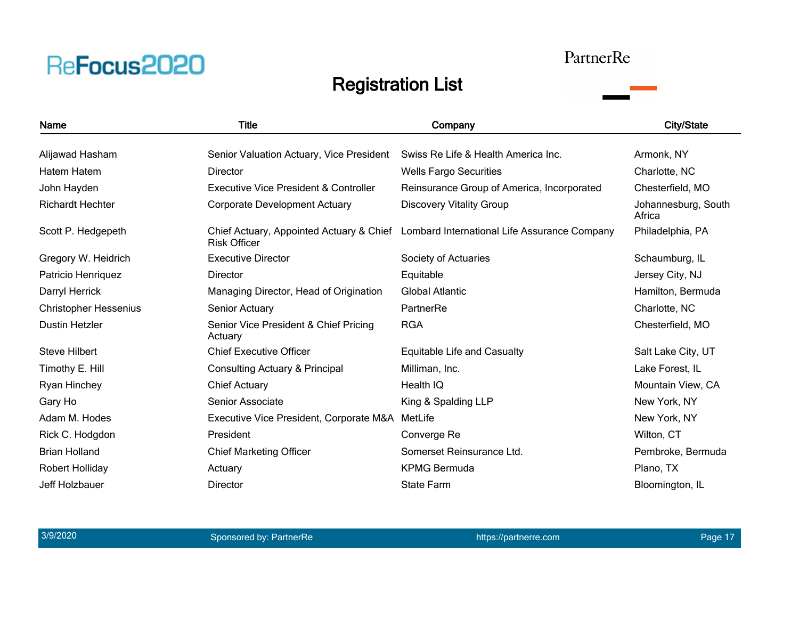### PartnerRe

![](_page_16_Picture_3.jpeg)

| <b>Name</b>                  | <b>Title</b>                                     | Company                                                                               | <b>City/State</b>             |
|------------------------------|--------------------------------------------------|---------------------------------------------------------------------------------------|-------------------------------|
| Alijawad Hasham              | Senior Valuation Actuary, Vice President         | Swiss Re Life & Health America Inc.                                                   | Armonk, NY                    |
| Hatem Hatem                  | <b>Director</b>                                  | <b>Wells Fargo Securities</b>                                                         | Charlotte, NC                 |
| John Hayden                  | Executive Vice President & Controller            | Reinsurance Group of America, Incorporated                                            | Chesterfield, MO              |
| <b>Richardt Hechter</b>      | <b>Corporate Development Actuary</b>             | <b>Discovery Vitality Group</b>                                                       | Johannesburg, South<br>Africa |
| Scott P. Hedgepeth           | <b>Risk Officer</b>                              | Chief Actuary, Appointed Actuary & Chief Lombard International Life Assurance Company | Philadelphia, PA              |
| Gregory W. Heidrich          | <b>Executive Director</b>                        | Society of Actuaries                                                                  | Schaumburg, IL                |
| Patricio Henriquez           | <b>Director</b>                                  | Equitable                                                                             | Jersey City, NJ               |
| Darryl Herrick               | Managing Director, Head of Origination           | <b>Global Atlantic</b>                                                                | Hamilton, Bermuda             |
| <b>Christopher Hessenius</b> | Senior Actuary                                   | PartnerRe                                                                             | Charlotte, NC                 |
| <b>Dustin Hetzler</b>        | Senior Vice President & Chief Pricing<br>Actuary | <b>RGA</b>                                                                            | Chesterfield, MO              |
| <b>Steve Hilbert</b>         | <b>Chief Executive Officer</b>                   | <b>Equitable Life and Casualty</b>                                                    | Salt Lake City, UT            |
| Timothy E. Hill              | Consulting Actuary & Principal                   | Milliman, Inc.                                                                        | Lake Forest, IL               |
| Ryan Hinchey                 | <b>Chief Actuary</b>                             | Health IQ                                                                             | Mountain View, CA             |
| Gary Ho                      | Senior Associate                                 | King & Spalding LLP                                                                   | New York, NY                  |
| Adam M. Hodes                | Executive Vice President, Corporate M&A          | MetLife                                                                               | New York, NY                  |
| Rick C. Hodgdon              | President                                        | Converge Re                                                                           | Wilton, CT                    |
| <b>Brian Holland</b>         | <b>Chief Marketing Officer</b>                   | Somerset Reinsurance Ltd.                                                             | Pembroke, Bermuda             |
| Robert Holliday              | Actuary                                          | <b>KPMG Bermuda</b>                                                                   | Plano, TX                     |
| Jeff Holzbauer               | <b>Director</b>                                  | <b>State Farm</b>                                                                     | Bloomington, IL               |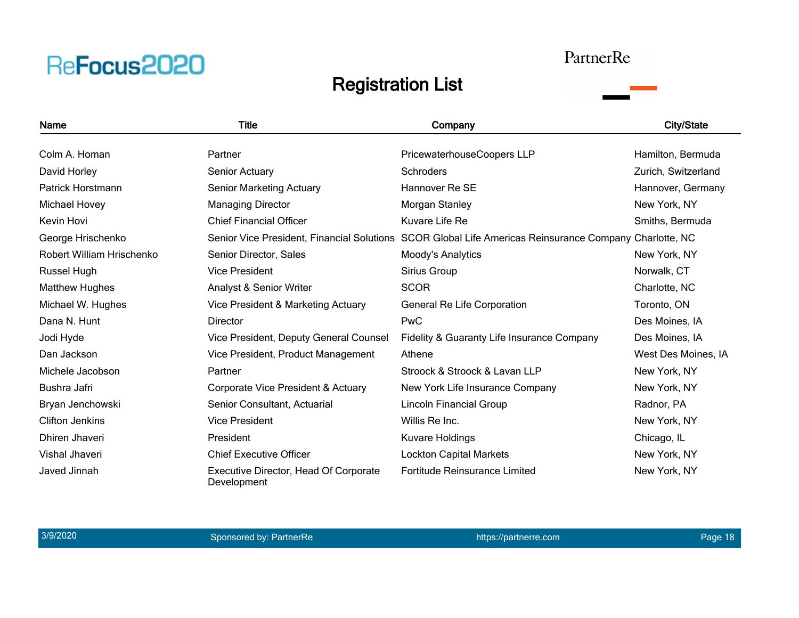#### PartnerRe

![](_page_17_Picture_3.jpeg)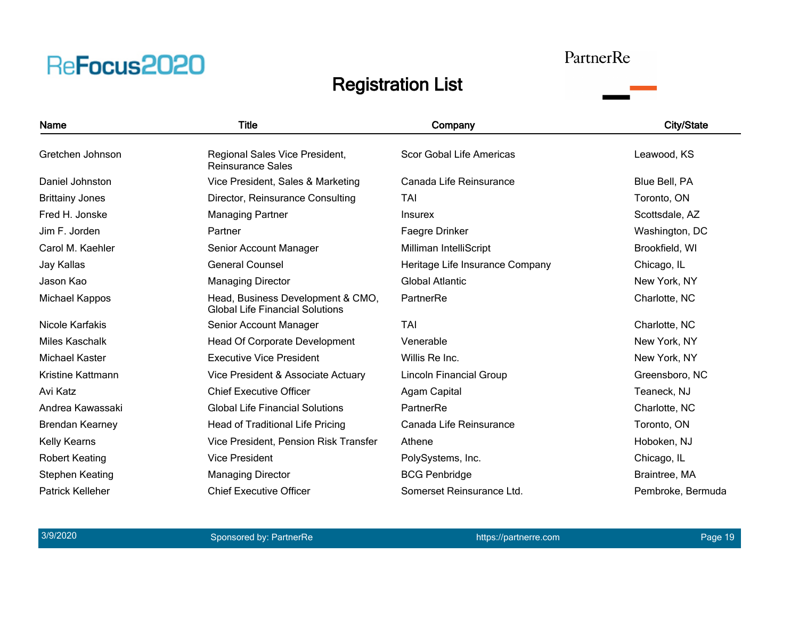#### PartnerRe

![](_page_18_Picture_3.jpeg)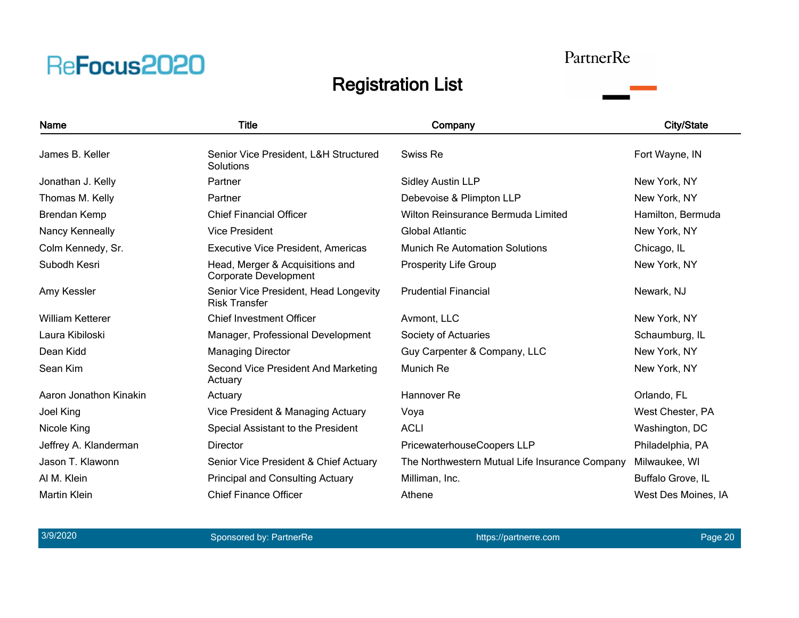#### PartnerRe

![](_page_19_Picture_3.jpeg)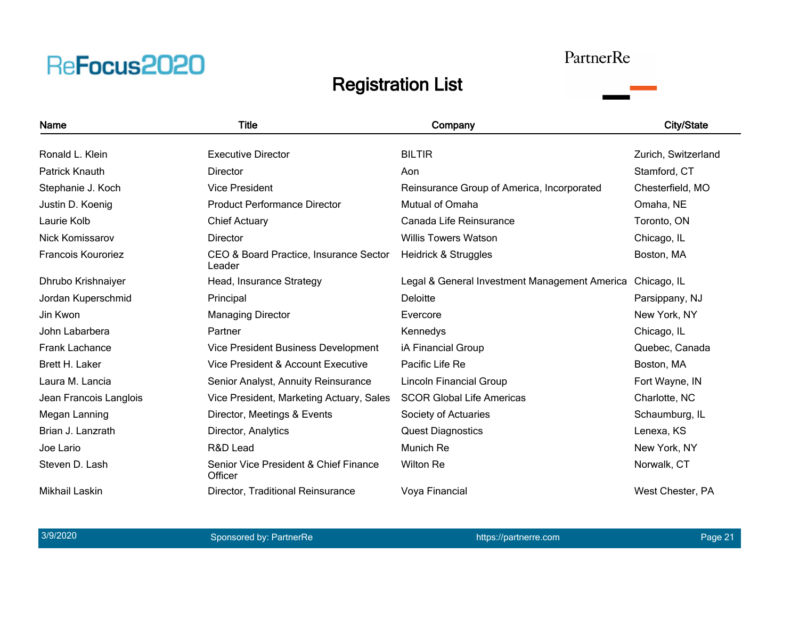#### PartnerRe

![](_page_20_Picture_3.jpeg)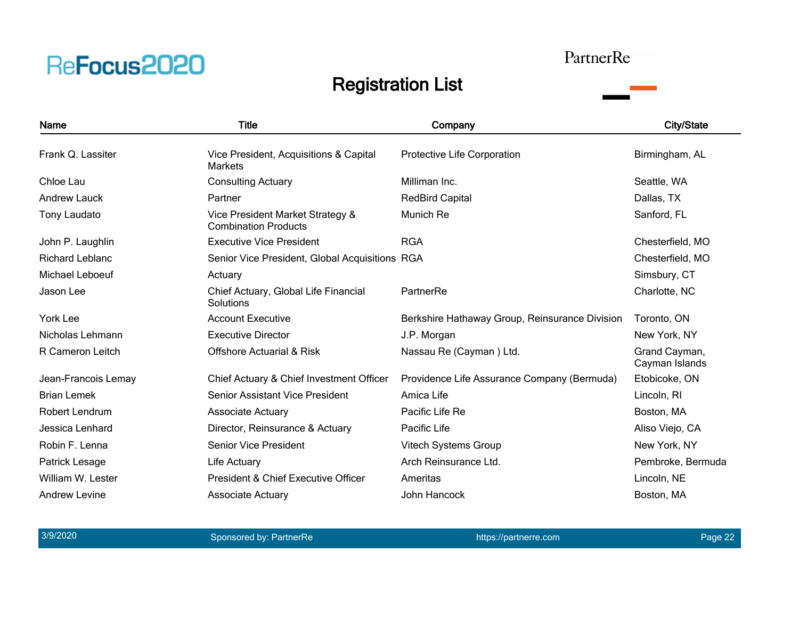#### PartnerRe

![](_page_21_Picture_3.jpeg)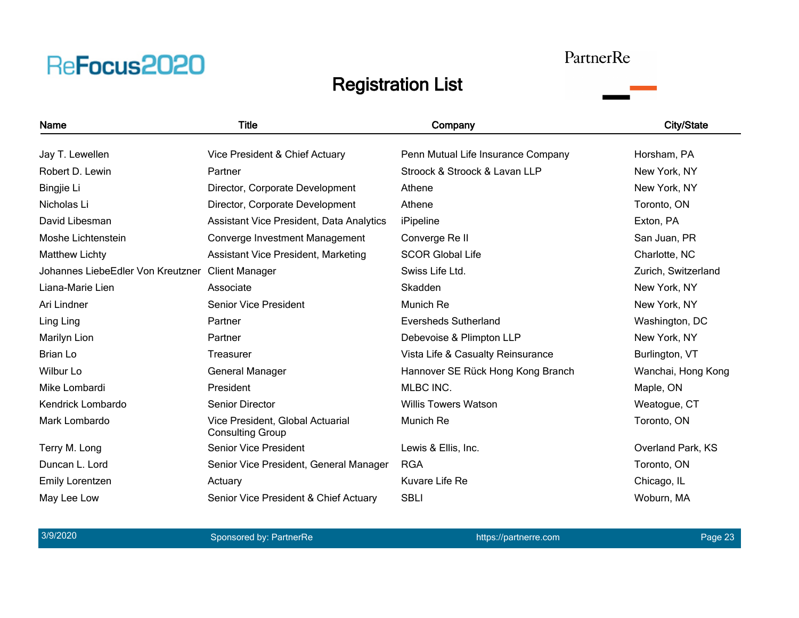#### PartnerRe

![](_page_22_Picture_3.jpeg)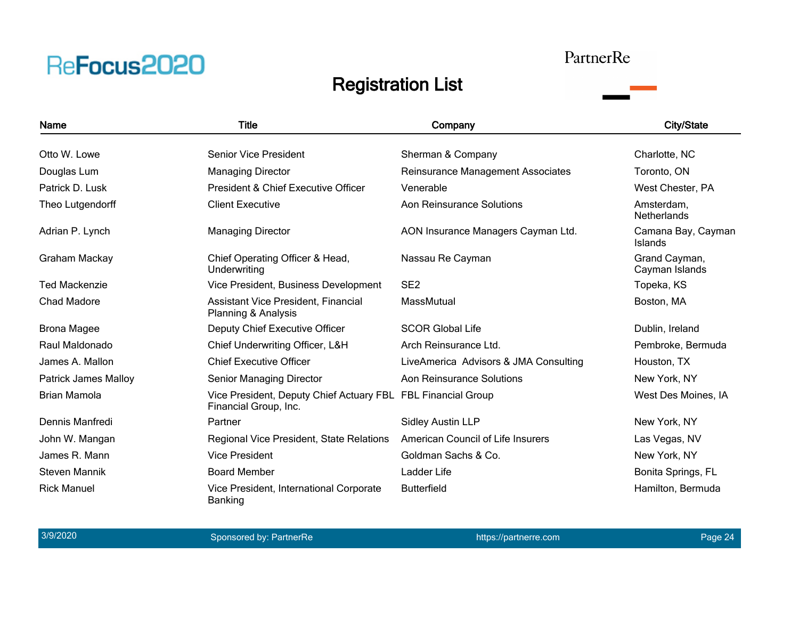#### PartnerRe

![](_page_23_Picture_3.jpeg)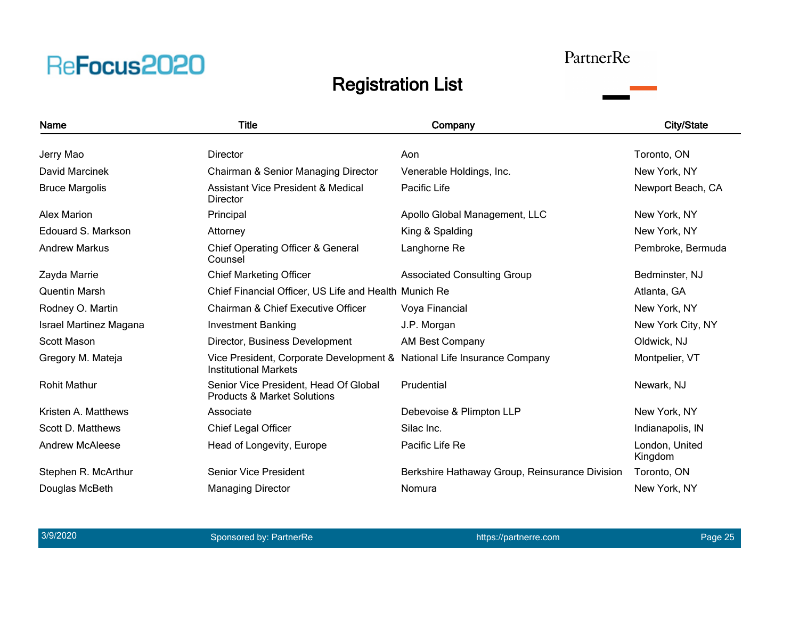#### PartnerRe

![](_page_24_Picture_3.jpeg)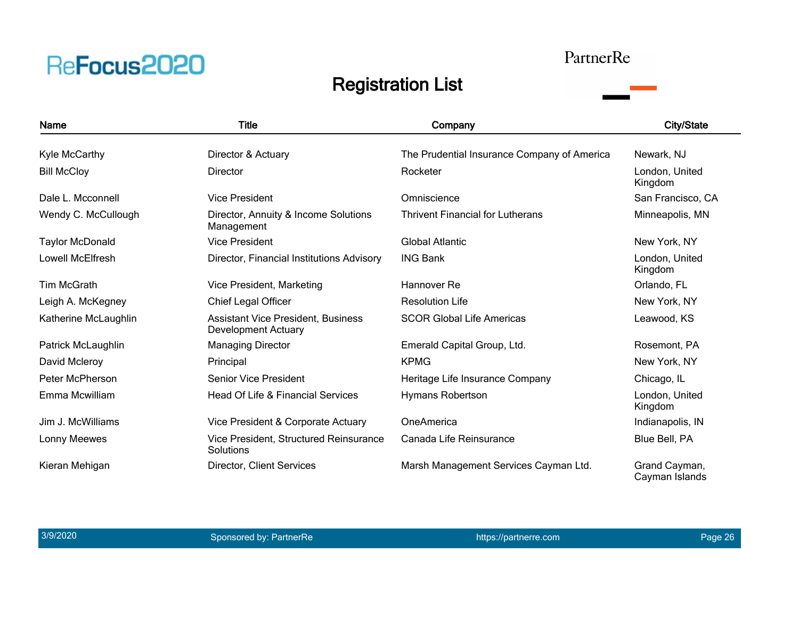#### PartnerRe

![](_page_25_Picture_3.jpeg)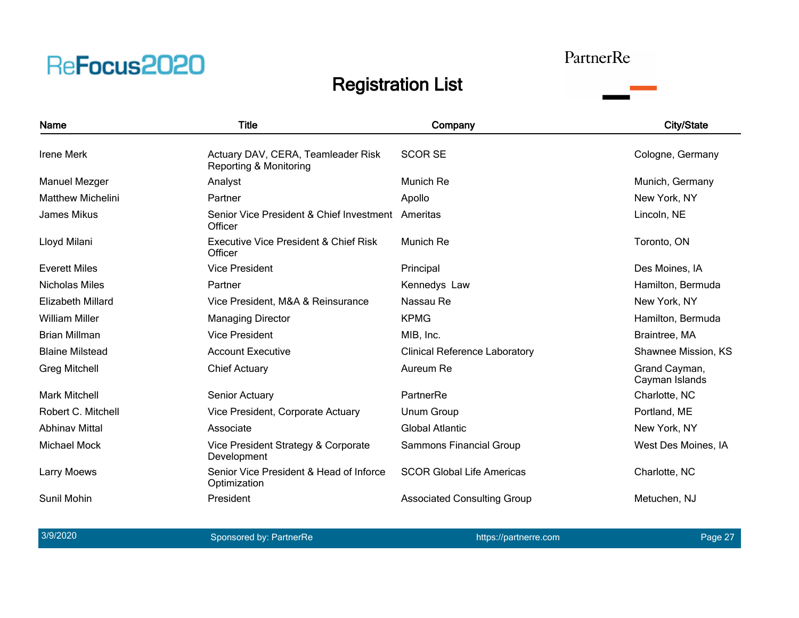#### PartnerRe

### Registration List

![](_page_26_Picture_3.jpeg)

3/9/2020 and the sponsored by: PartnerRe https://partnerre.com https://partnerre.com Page 27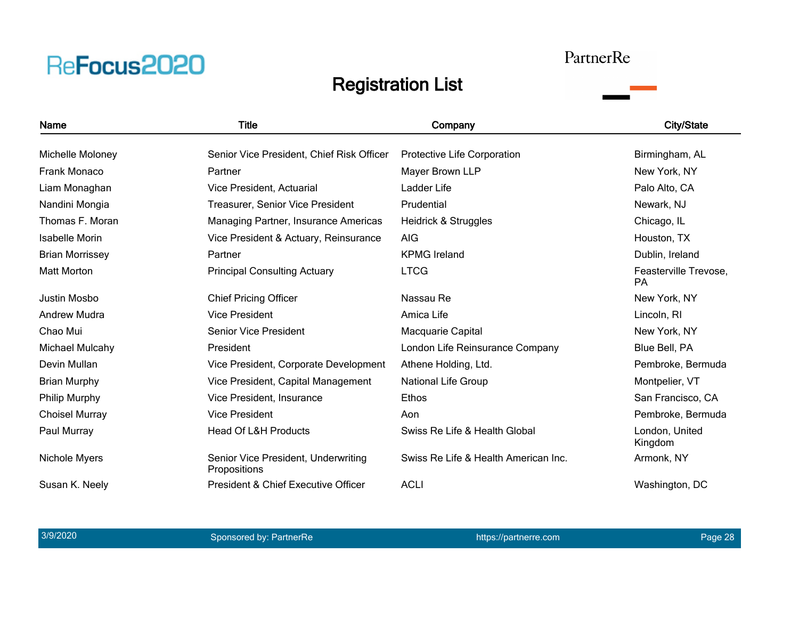#### PartnerRe

![](_page_27_Picture_3.jpeg)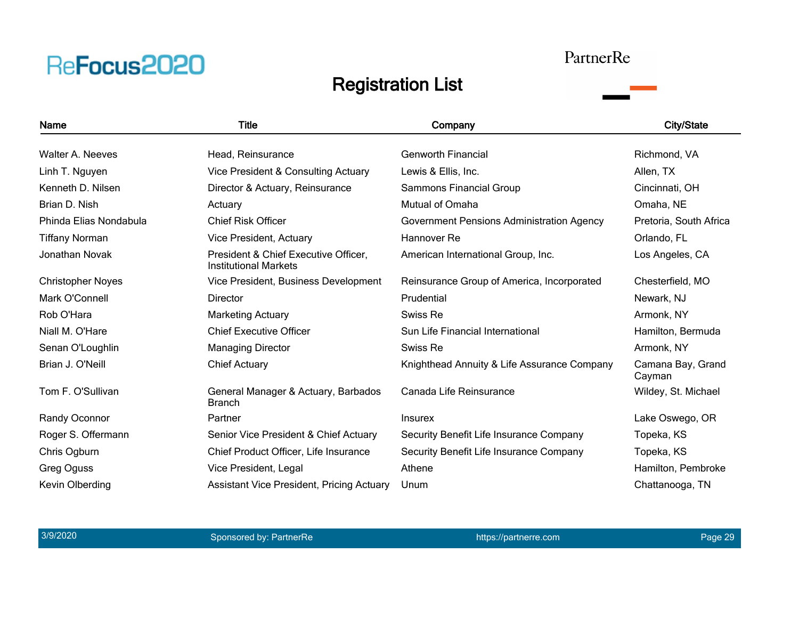#### PartnerRe

![](_page_28_Picture_3.jpeg)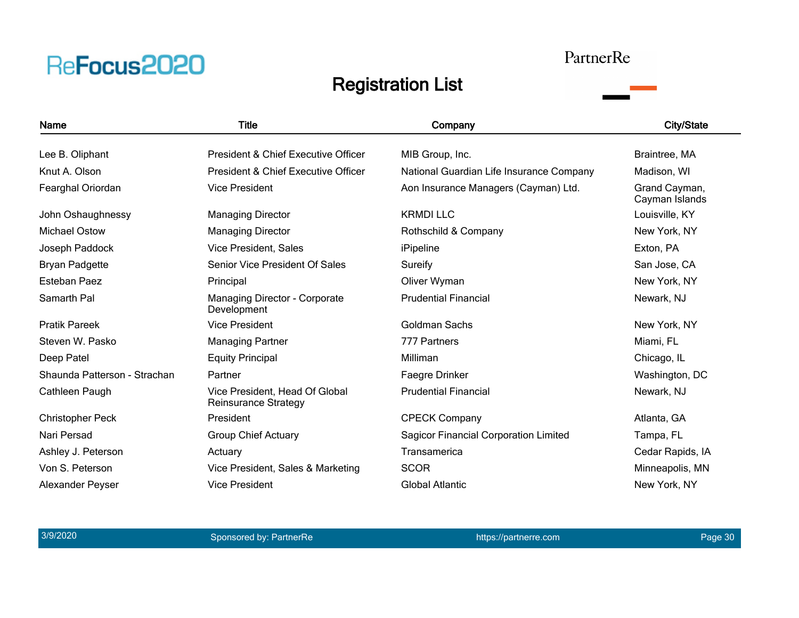### PartnerRe

![](_page_29_Picture_3.jpeg)

| Name                         | <b>Title</b>                                                  | Company                                      | <b>City/State</b>               |
|------------------------------|---------------------------------------------------------------|----------------------------------------------|---------------------------------|
| Lee B. Oliphant              | President & Chief Executive Officer                           | MIB Group, Inc.                              | Braintree, MA                   |
| Knut A. Olson                | President & Chief Executive Officer                           | National Guardian Life Insurance Company     | Madison, WI                     |
| Fearghal Oriordan            | <b>Vice President</b>                                         | Aon Insurance Managers (Cayman) Ltd.         | Grand Cayman,<br>Cayman Islands |
| John Oshaughnessy            | <b>Managing Director</b>                                      | <b>KRMDILLC</b>                              | Louisville, KY                  |
| <b>Michael Ostow</b>         | <b>Managing Director</b>                                      | Rothschild & Company                         | New York, NY                    |
| Joseph Paddock               | Vice President, Sales                                         | iPipeline                                    | Exton, PA                       |
| <b>Bryan Padgette</b>        | Senior Vice President Of Sales                                | Sureify                                      | San Jose, CA                    |
| Esteban Paez                 | Principal                                                     | Oliver Wyman                                 | New York, NY                    |
| Samarth Pal                  | Managing Director - Corporate<br>Development                  | <b>Prudential Financial</b>                  | Newark, NJ                      |
| <b>Pratik Pareek</b>         | <b>Vice President</b>                                         | Goldman Sachs                                | New York, NY                    |
| Steven W. Pasko              | <b>Managing Partner</b>                                       | 777 Partners                                 | Miami, FL                       |
| Deep Patel                   | <b>Equity Principal</b>                                       | Milliman                                     | Chicago, IL                     |
| Shaunda Patterson - Strachan | Partner                                                       | Faegre Drinker                               | Washington, DC                  |
| Cathleen Paugh               | Vice President, Head Of Global<br><b>Reinsurance Strategy</b> | <b>Prudential Financial</b>                  | Newark, NJ                      |
| <b>Christopher Peck</b>      | President                                                     | <b>CPECK Company</b>                         | Atlanta, GA                     |
| Nari Persad                  | <b>Group Chief Actuary</b>                                    | <b>Sagicor Financial Corporation Limited</b> | Tampa, FL                       |
| Ashley J. Peterson           | Actuary                                                       | Transamerica                                 | Cedar Rapids, IA                |
| Von S. Peterson              | Vice President, Sales & Marketing                             | <b>SCOR</b>                                  | Minneapolis, MN                 |
| <b>Alexander Peyser</b>      | <b>Vice President</b>                                         | <b>Global Atlantic</b>                       | New York, NY                    |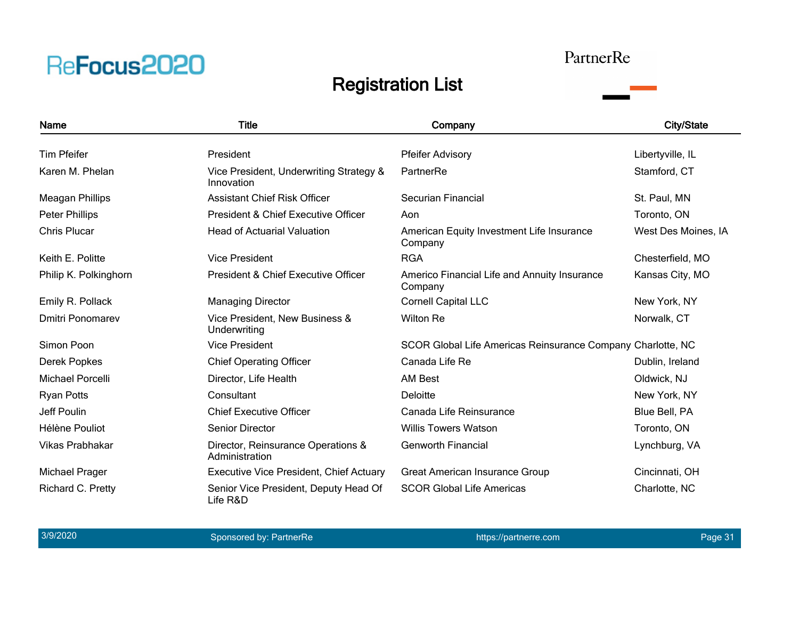#### PartnerRe

![](_page_30_Picture_3.jpeg)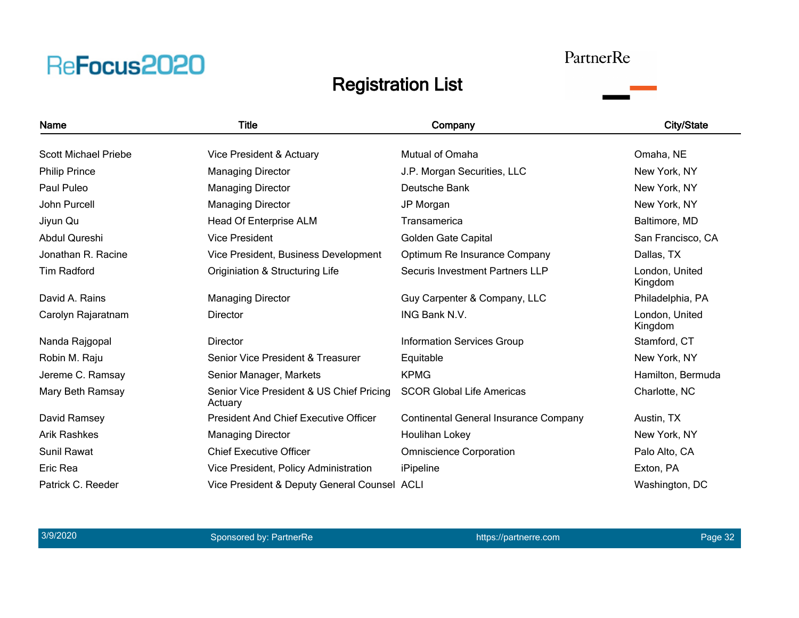#### PartnerRe

![](_page_31_Picture_3.jpeg)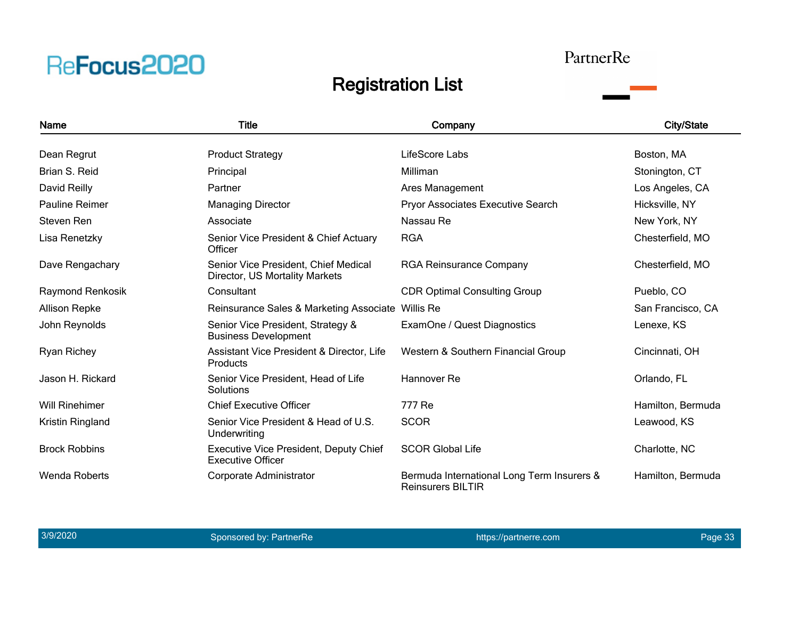#### PartnerRe

![](_page_32_Picture_3.jpeg)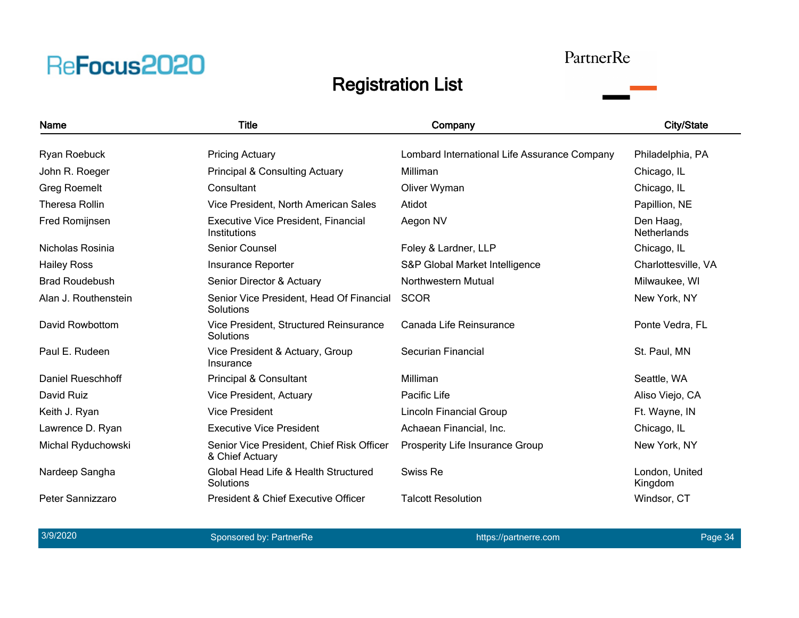#### PartnerRe

### Registration List

![](_page_33_Picture_3.jpeg)

3/9/2020 and the sponsored by: PartnerRe https://partnerre.com https://partnerre.com Page 34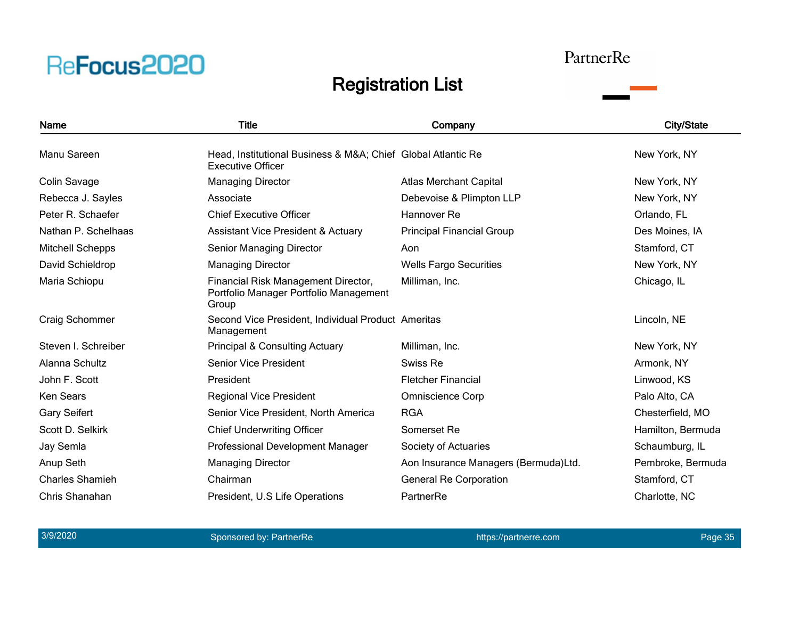![](_page_34_Picture_0.jpeg)

#### PartnerRe

![](_page_34_Picture_3.jpeg)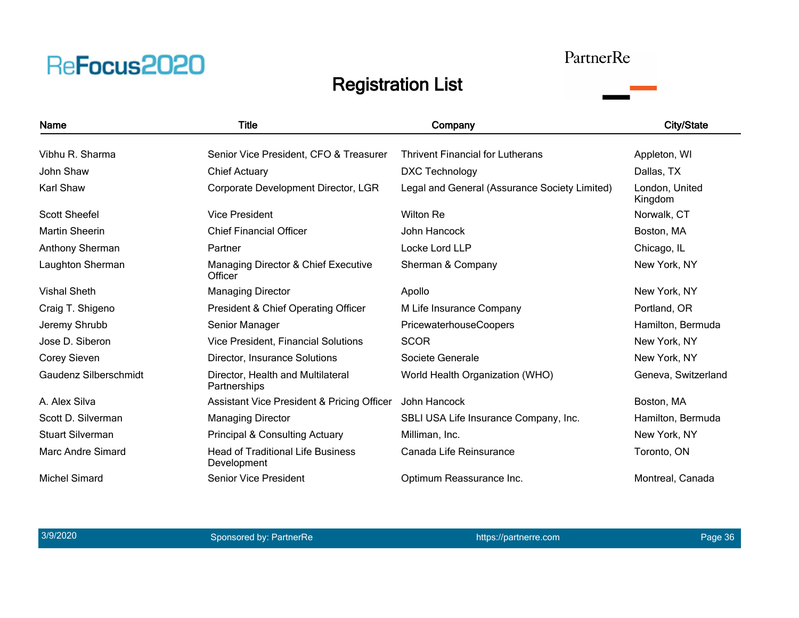### PartnerRe

![](_page_35_Picture_3.jpeg)

| <b>Name</b>                  | <b>Title</b>                                            | Company                                       | <b>City/State</b>         |
|------------------------------|---------------------------------------------------------|-----------------------------------------------|---------------------------|
| Vibhu R. Sharma              | Senior Vice President, CFO & Treasurer                  | <b>Thrivent Financial for Lutherans</b>       | Appleton, WI              |
| John Shaw                    | <b>Chief Actuary</b>                                    | <b>DXC Technology</b>                         | Dallas, TX                |
| Karl Shaw                    | Corporate Development Director, LGR                     | Legal and General (Assurance Society Limited) | London, United<br>Kingdom |
| <b>Scott Sheefel</b>         | <b>Vice President</b>                                   | <b>Wilton Re</b>                              | Norwalk, CT               |
| <b>Martin Sheerin</b>        | <b>Chief Financial Officer</b>                          | John Hancock                                  | Boston, MA                |
| Anthony Sherman              | Partner                                                 | Locke Lord LLP                                | Chicago, IL               |
| Laughton Sherman             | Managing Director & Chief Executive<br>Officer          | Sherman & Company                             | New York, NY              |
| <b>Vishal Sheth</b>          | <b>Managing Director</b>                                | Apollo                                        | New York, NY              |
| Craig T. Shigeno             | President & Chief Operating Officer                     | M Life Insurance Company                      | Portland, OR              |
| Jeremy Shrubb                | Senior Manager                                          | PricewaterhouseCoopers                        | Hamilton, Bermuda         |
| Jose D. Siberon              | <b>Vice President, Financial Solutions</b>              | <b>SCOR</b>                                   | New York, NY              |
| <b>Corey Sieven</b>          | Director, Insurance Solutions                           | Societe Generale                              | New York, NY              |
| <b>Gaudenz Silberschmidt</b> | Director, Health and Multilateral<br>Partnerships       | World Health Organization (WHO)               | Geneva, Switzerland       |
| A. Alex Silva                | <b>Assistant Vice President &amp; Pricing Officer</b>   | John Hancock                                  | Boston, MA                |
| Scott D. Silverman           | <b>Managing Director</b>                                | SBLI USA Life Insurance Company, Inc.         | Hamilton, Bermuda         |
| <b>Stuart Silverman</b>      | <b>Principal &amp; Consulting Actuary</b>               | Milliman, Inc.                                | New York, NY              |
| <b>Marc Andre Simard</b>     | <b>Head of Traditional Life Business</b><br>Development | Canada Life Reinsurance                       | Toronto, ON               |
| <b>Michel Simard</b>         | <b>Senior Vice President</b>                            | Optimum Reassurance Inc.                      | Montreal, Canada          |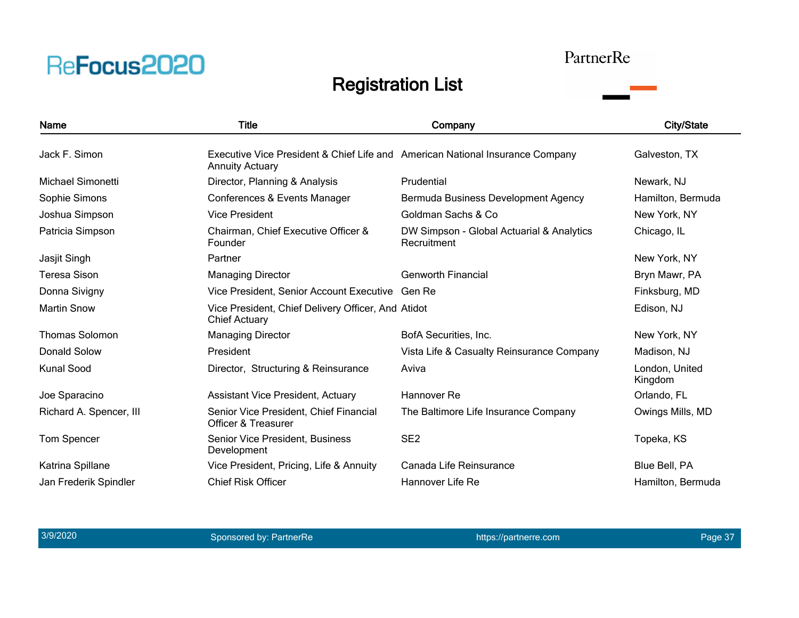![](_page_36_Picture_0.jpeg)

#### PartnerRe

![](_page_36_Picture_3.jpeg)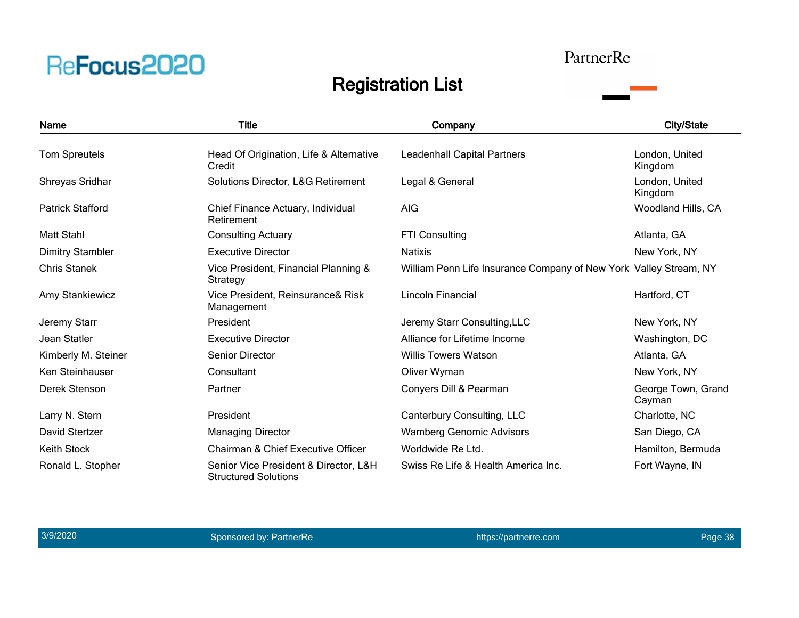#### PartnerRe

![](_page_37_Picture_3.jpeg)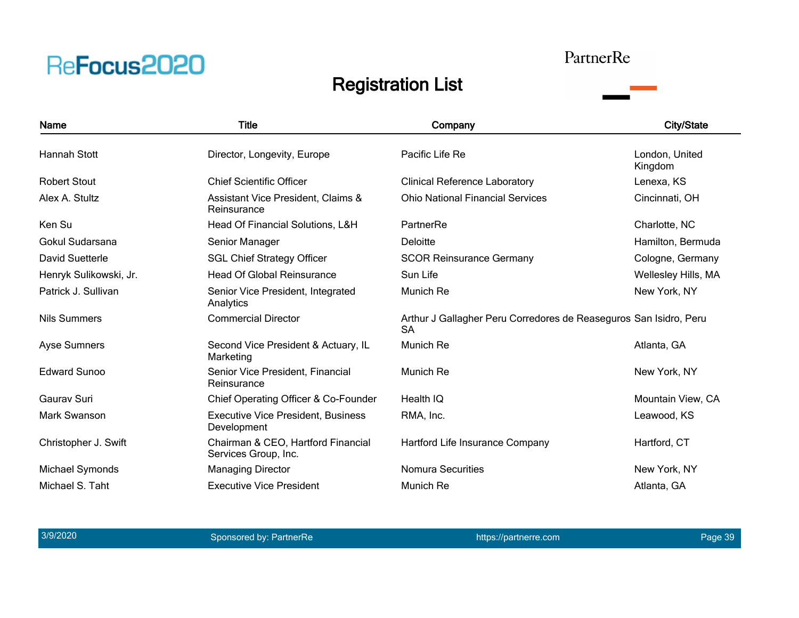#### PartnerRe

![](_page_38_Picture_3.jpeg)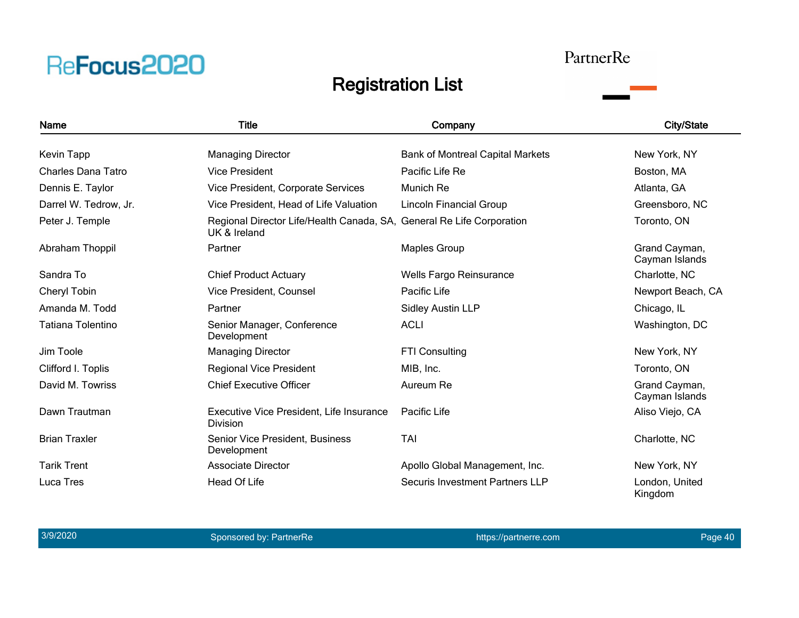#### PartnerRe

![](_page_39_Picture_3.jpeg)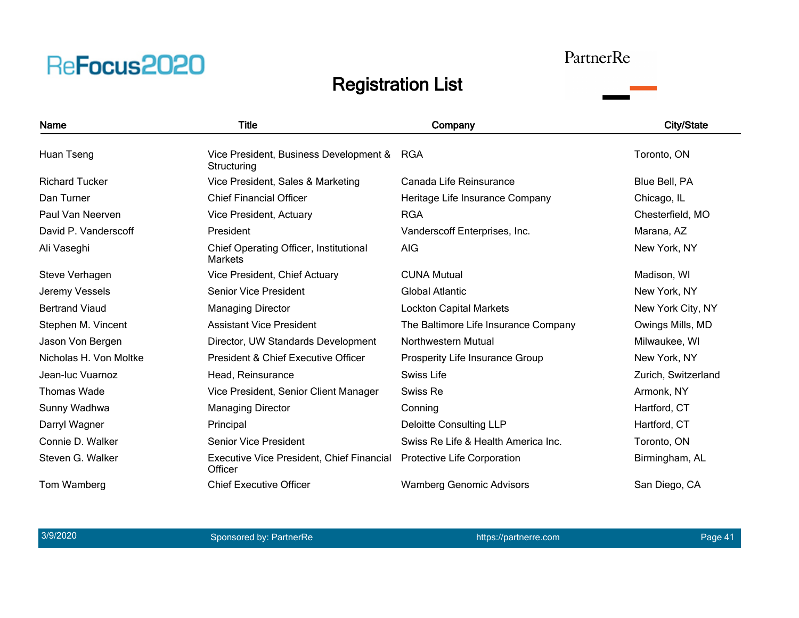#### PartnerRe

![](_page_40_Picture_3.jpeg)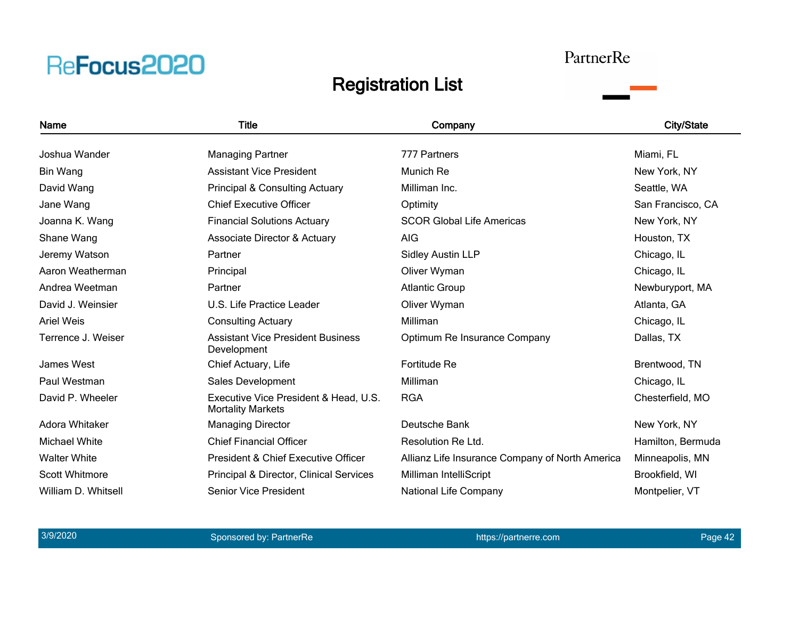#### PartnerRe

![](_page_41_Picture_3.jpeg)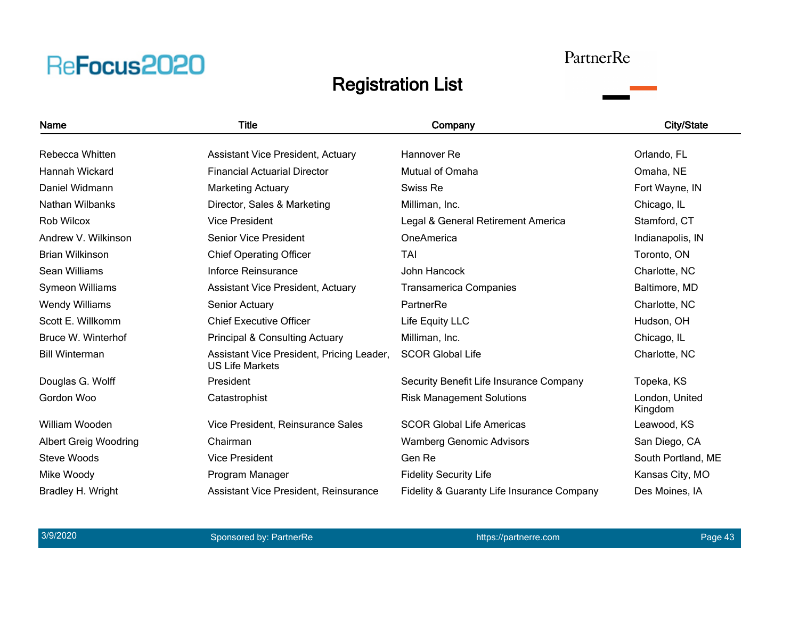#### PartnerRe

![](_page_42_Picture_3.jpeg)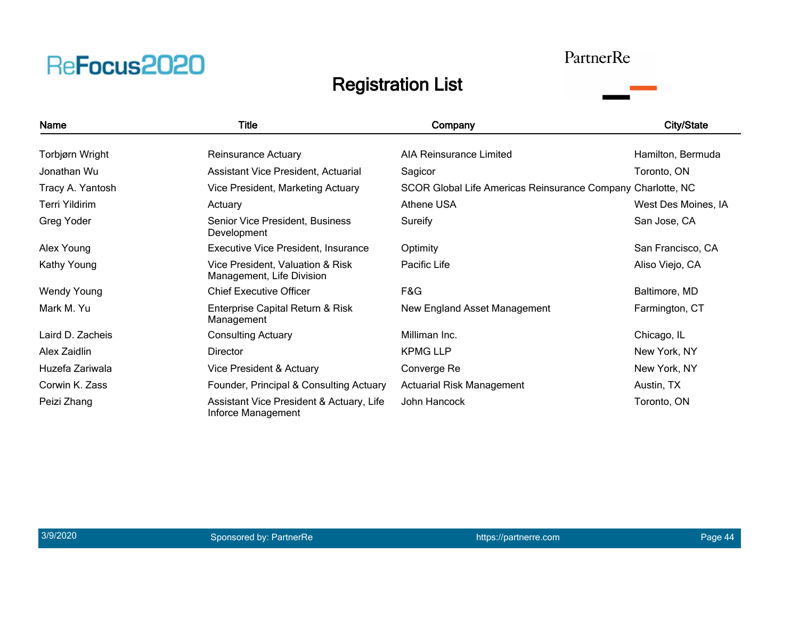### PartnerRe

![](_page_43_Picture_3.jpeg)

| Name               | <b>Title</b>                                                   | Company                                                     | <b>City/State</b>   |
|--------------------|----------------------------------------------------------------|-------------------------------------------------------------|---------------------|
|                    |                                                                |                                                             |                     |
| Torbjørn Wright    | <b>Reinsurance Actuary</b>                                     | AIA Reinsurance Limited                                     | Hamilton, Bermuda   |
| Jonathan Wu        | Assistant Vice President, Actuarial                            | Sagicor                                                     | Toronto, ON         |
| Tracy A. Yantosh   | Vice President, Marketing Actuary                              | SCOR Global Life Americas Reinsurance Company Charlotte, NC |                     |
| Terri Yildirim     | Actuary                                                        | Athene USA                                                  | West Des Moines, IA |
| Greg Yoder         | Senior Vice President, Business<br>Development                 | Sureify                                                     | San Jose, CA        |
| Alex Young         | Executive Vice President, Insurance                            | Optimity                                                    | San Francisco, CA   |
| Kathy Young        | Vice President, Valuation & Risk<br>Management, Life Division  | Pacific Life                                                | Aliso Viejo, CA     |
| <b>Wendy Young</b> | <b>Chief Executive Officer</b>                                 | F&G                                                         | Baltimore, MD       |
| Mark M. Yu         | Enterprise Capital Return & Risk<br>Management                 | New England Asset Management                                | Farmington, CT      |
| Laird D. Zacheis   | <b>Consulting Actuary</b>                                      | Milliman Inc.                                               | Chicago, IL         |
| Alex Zaidlin       | Director                                                       | <b>KPMG LLP</b>                                             | New York, NY        |
| Huzefa Zariwala    | Vice President & Actuary                                       | Converge Re                                                 | New York, NY        |
| Corwin K. Zass     | Founder, Principal & Consulting Actuary                        | <b>Actuarial Risk Management</b>                            | Austin, TX          |
| Peizi Zhang        | Assistant Vice President & Actuary, Life<br>Inforce Management | John Hancock                                                | Toronto, ON         |